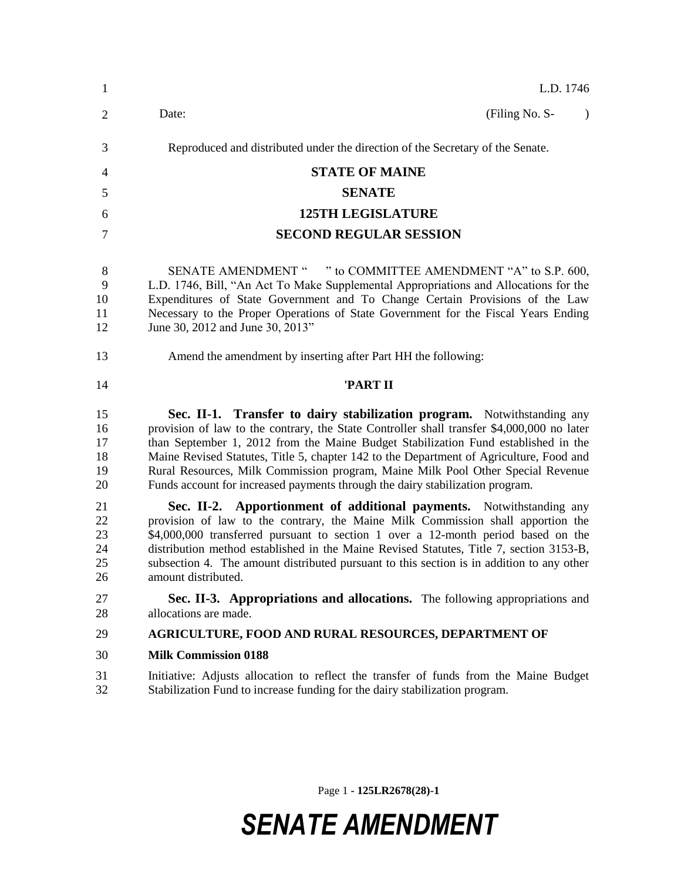| $\mathbf{1}$                     | L.D. 1746                                                                                                                                                                                                                                                                                                                                                                                                                                                                                                                  |  |  |  |
|----------------------------------|----------------------------------------------------------------------------------------------------------------------------------------------------------------------------------------------------------------------------------------------------------------------------------------------------------------------------------------------------------------------------------------------------------------------------------------------------------------------------------------------------------------------------|--|--|--|
| $\overline{2}$                   | (Filing No. S-<br>Date:<br>$\lambda$                                                                                                                                                                                                                                                                                                                                                                                                                                                                                       |  |  |  |
| 3                                | Reproduced and distributed under the direction of the Secretary of the Senate.                                                                                                                                                                                                                                                                                                                                                                                                                                             |  |  |  |
| 4                                | <b>STATE OF MAINE</b>                                                                                                                                                                                                                                                                                                                                                                                                                                                                                                      |  |  |  |
| 5                                | <b>SENATE</b>                                                                                                                                                                                                                                                                                                                                                                                                                                                                                                              |  |  |  |
| 6                                | <b>125TH LEGISLATURE</b>                                                                                                                                                                                                                                                                                                                                                                                                                                                                                                   |  |  |  |
| 7                                | <b>SECOND REGULAR SESSION</b>                                                                                                                                                                                                                                                                                                                                                                                                                                                                                              |  |  |  |
| 8<br>9<br>10<br>11<br>12         | SENATE AMENDMENT " " to COMMITTEE AMENDMENT "A" to S.P. 600,<br>L.D. 1746, Bill, "An Act To Make Supplemental Appropriations and Allocations for the<br>Expenditures of State Government and To Change Certain Provisions of the Law<br>Necessary to the Proper Operations of State Government for the Fiscal Years Ending<br>June 30, 2012 and June 30, 2013"                                                                                                                                                             |  |  |  |
| 13                               | Amend the amendment by inserting after Part HH the following:                                                                                                                                                                                                                                                                                                                                                                                                                                                              |  |  |  |
| 14                               | 'PART II                                                                                                                                                                                                                                                                                                                                                                                                                                                                                                                   |  |  |  |
| 15<br>16<br>17<br>18<br>19<br>20 | Sec. II-1. Transfer to dairy stabilization program. Notwithstanding any<br>provision of law to the contrary, the State Controller shall transfer \$4,000,000 no later<br>than September 1, 2012 from the Maine Budget Stabilization Fund established in the<br>Maine Revised Statutes, Title 5, chapter 142 to the Department of Agriculture, Food and<br>Rural Resources, Milk Commission program, Maine Milk Pool Other Special Revenue<br>Funds account for increased payments through the dairy stabilization program. |  |  |  |
| 21<br>22<br>23<br>24<br>25<br>26 | Sec. II-2. Apportionment of additional payments. Notwithstanding any<br>provision of law to the contrary, the Maine Milk Commission shall apportion the<br>\$4,000,000 transferred pursuant to section 1 over a 12-month period based on the<br>distribution method established in the Maine Revised Statutes, Title 7, section 3153-B,<br>subsection 4. The amount distributed pursuant to this section is in addition to any other<br>amount distributed.                                                                |  |  |  |
| 27<br>28                         | Sec. II-3. Appropriations and allocations. The following appropriations and<br>allocations are made.                                                                                                                                                                                                                                                                                                                                                                                                                       |  |  |  |
| 29                               | <b>AGRICULTURE, FOOD AND RURAL RESOURCES, DEPARTMENT OF</b>                                                                                                                                                                                                                                                                                                                                                                                                                                                                |  |  |  |
| 30                               | <b>Milk Commission 0188</b>                                                                                                                                                                                                                                                                                                                                                                                                                                                                                                |  |  |  |
| 31<br>32                         | Initiative: Adjusts allocation to reflect the transfer of funds from the Maine Budget<br>Stabilization Fund to increase funding for the dairy stabilization program.                                                                                                                                                                                                                                                                                                                                                       |  |  |  |

Page 1 **- 125LR2678(28)-1**

## *SENATE AMENDMENT*